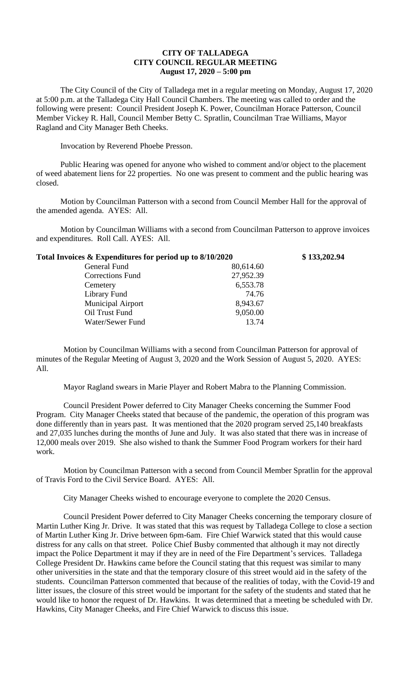## **CITY OF TALLADEGA CITY COUNCIL REGULAR MEETING August 17, 2020 – 5:00 pm**

The City Council of the City of Talladega met in a regular meeting on Monday, August 17, 2020 at 5:00 p.m. at the Talladega City Hall Council Chambers. The meeting was called to order and the following were present: Council President Joseph K. Power, Councilman Horace Patterson, Council Member Vickey R. Hall, Council Member Betty C. Spratlin, Councilman Trae Williams, Mayor Ragland and City Manager Beth Cheeks.

Invocation by Reverend Phoebe Presson.

Public Hearing was opened for anyone who wished to comment and/or object to the placement of weed abatement liens for 22 properties. No one was present to comment and the public hearing was closed.

Motion by Councilman Patterson with a second from Council Member Hall for the approval of the amended agenda. AYES: All.

Motion by Councilman Williams with a second from Councilman Patterson to approve invoices and expenditures. Roll Call. AYES: All.

| Total Invoices & Expenditures for period up to 8/10/2020 |           | \$133,202.94 |
|----------------------------------------------------------|-----------|--------------|
| General Fund                                             | 80,614.60 |              |
| <b>Corrections Fund</b>                                  | 27,952.39 |              |
| Cemetery                                                 | 6,553.78  |              |
| Library Fund                                             | 74.76     |              |
| <b>Municipal Airport</b>                                 | 8,943.67  |              |
| Oil Trust Fund                                           | 9,050.00  |              |
| Water/Sewer Fund                                         | 13.74     |              |

Motion by Councilman Williams with a second from Councilman Patterson for approval of minutes of the Regular Meeting of August 3, 2020 and the Work Session of August 5, 2020. AYES: All.

Mayor Ragland swears in Marie Player and Robert Mabra to the Planning Commission.

Council President Power deferred to City Manager Cheeks concerning the Summer Food Program. City Manager Cheeks stated that because of the pandemic, the operation of this program was done differently than in years past. It was mentioned that the 2020 program served 25,140 breakfasts and 27,035 lunches during the months of June and July. It was also stated that there was in increase of 12,000 meals over 2019. She also wished to thank the Summer Food Program workers for their hard work.

Motion by Councilman Patterson with a second from Council Member Spratlin for the approval of Travis Ford to the Civil Service Board. AYES: All.

City Manager Cheeks wished to encourage everyone to complete the 2020 Census.

Council President Power deferred to City Manager Cheeks concerning the temporary closure of Martin Luther King Jr. Drive. It was stated that this was request by Talladega College to close a section of Martin Luther King Jr. Drive between 6pm-6am. Fire Chief Warwick stated that this would cause distress for any calls on that street. Police Chief Busby commented that although it may not directly impact the Police Department it may if they are in need of the Fire Department's services. Talladega College President Dr. Hawkins came before the Council stating that this request was similar to many other universities in the state and that the temporary closure of this street would aid in the safety of the students. Councilman Patterson commented that because of the realities of today, with the Covid-19 and litter issues, the closure of this street would be important for the safety of the students and stated that he would like to honor the request of Dr. Hawkins. It was determined that a meeting be scheduled with Dr. Hawkins, City Manager Cheeks, and Fire Chief Warwick to discuss this issue.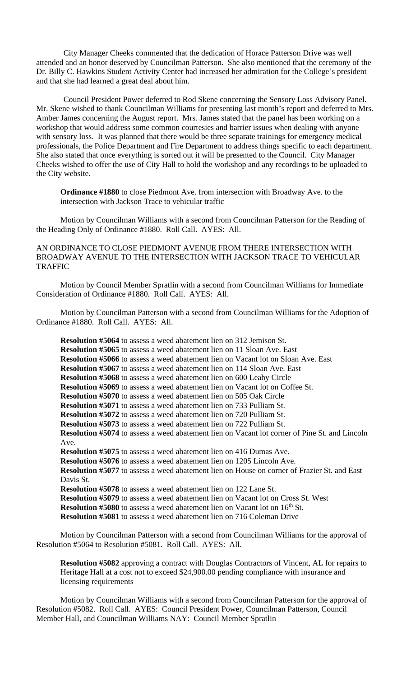City Manager Cheeks commented that the dedication of Horace Patterson Drive was well attended and an honor deserved by Councilman Patterson. She also mentioned that the ceremony of the Dr. Billy C. Hawkins Student Activity Center had increased her admiration for the College's president and that she had learned a great deal about him.

Council President Power deferred to Rod Skene concerning the Sensory Loss Advisory Panel. Mr. Skene wished to thank Councilman Williams for presenting last month's report and deferred to Mrs. Amber James concerning the August report. Mrs. James stated that the panel has been working on a workshop that would address some common courtesies and barrier issues when dealing with anyone with sensory loss. It was planned that there would be three separate trainings for emergency medical professionals, the Police Department and Fire Department to address things specific to each department. She also stated that once everything is sorted out it will be presented to the Council. City Manager Cheeks wished to offer the use of City Hall to hold the workshop and any recordings to be uploaded to the City website.

**Ordinance #1880** to close Piedmont Ave. from intersection with Broadway Ave. to the intersection with Jackson Trace to vehicular traffic

Motion by Councilman Williams with a second from Councilman Patterson for the Reading of the Heading Only of Ordinance #1880. Roll Call. AYES: All.

AN ORDINANCE TO CLOSE PIEDMONT AVENUE FROM THERE INTERSECTION WITH BROADWAY AVENUE TO THE INTERSECTION WITH JACKSON TRACE TO VEHICULAR TRAFFIC

Motion by Council Member Spratlin with a second from Councilman Williams for Immediate Consideration of Ordinance #1880. Roll Call. AYES: All.

Motion by Councilman Patterson with a second from Councilman Williams for the Adoption of Ordinance #1880. Roll Call. AYES: All.

**Resolution #5064** to assess a weed abatement lien on 312 Jemison St. **Resolution #5065** to assess a weed abatement lien on 11 Sloan Ave. East **Resolution #5066** to assess a weed abatement lien on Vacant lot on Sloan Ave. East **Resolution #5067** to assess a weed abatement lien on 114 Sloan Ave. East **Resolution #5068** to assess a weed abatement lien on 600 Leahy Circle **Resolution #5069** to assess a weed abatement lien on Vacant lot on Coffee St. **Resolution #5070** to assess a weed abatement lien on 505 Oak Circle **Resolution #5071** to assess a weed abatement lien on 733 Pulliam St. **Resolution #5072** to assess a weed abatement lien on 720 Pulliam St. **Resolution #5073** to assess a weed abatement lien on 722 Pulliam St. **Resolution #5074** to assess a weed abatement lien on Vacant lot corner of Pine St. and Lincoln Ave. **Resolution #5075** to assess a weed abatement lien on 416 Dumas Ave. **Resolution #5076** to assess a weed abatement lien on 1205 Lincoln Ave. **Resolution #5077** to assess a weed abatement lien on House on corner of Frazier St. and East Davis St. **Resolution #5078** to assess a weed abatement lien on 122 Lane St. **Resolution #5079** to assess a weed abatement lien on Vacant lot on Cross St. West **Resolution #5080** to assess a weed abatement lien on Vacant lot on 16<sup>th</sup> St. **Resolution #5081** to assess a weed abatement lien on 716 Coleman Drive

Motion by Councilman Patterson with a second from Councilman Williams for the approval of Resolution #5064 to Resolution #5081. Roll Call. AYES: All.

**Resolution #5082** approving a contract with Douglas Contractors of Vincent, AL for repairs to Heritage Hall at a cost not to exceed \$24,900.00 pending compliance with insurance and licensing requirements

Motion by Councilman Williams with a second from Councilman Patterson for the approval of Resolution #5082. Roll Call. AYES: Council President Power, Councilman Patterson, Council Member Hall, and Councilman Williams NAY: Council Member Spratlin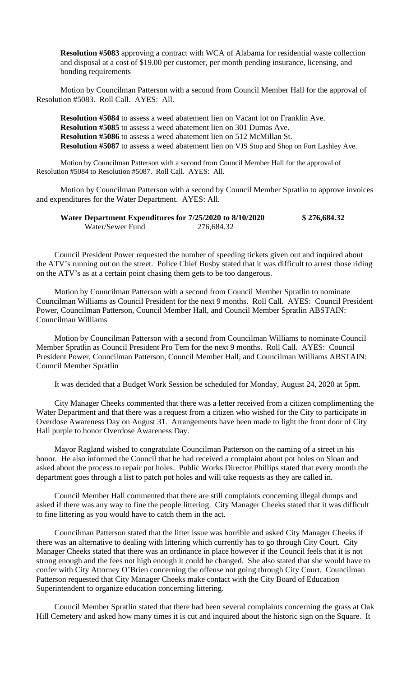**Resolution #5083** approving a contract with WCA of Alabama for residential waste collection and disposal at a cost of \$19.00 per customer, per month pending insurance, licensing, and bonding requirements

Motion by Councilman Patterson with a second from Council Member Hall for the approval of Resolution #5083. Roll Call. AYES: All.

**Resolution #5084** to assess a weed abatement lien on Vacant lot on Franklin Ave. **Resolution #5085** to assess a weed abatement lien on 301 Dumas Ave. **Resolution #5086** to assess a weed abatement lien on 512 McMillan St. **Resolution #5087** to assess a weed abatement lien on VJS Stop and Shop on Fort Lashley Ave.

Motion by Councilman Patterson with a second from Council Member Hall for the approval of Resolution #5084 to Resolution #5087. Roll Call. AYES: All.

Motion by Councilman Patterson with a second by Council Member Spratlin to approve invoices and expenditures for the Water Department. AYES: All.

| Water Department Expenditures for 7/25/2020 to 8/10/2020 |            | \$276,684.32 |
|----------------------------------------------------------|------------|--------------|
| Water/Sewer Fund                                         | 276,684.32 |              |

Council President Power requested the number of speeding tickets given out and inquired about the ATV's running out on the street. Police Chief Busby stated that it was difficult to arrest those riding on the ATV's as at a certain point chasing them gets to be too dangerous.

Motion by Councilman Patterson with a second from Council Member Spratlin to nominate Councilman Williams as Council President for the next 9 months. Roll Call. AYES: Council President Power, Councilman Patterson, Council Member Hall, and Council Member Spratlin ABSTAIN: Councilman Williams

Motion by Councilman Patterson with a second from Councilman Williams to nominate Council Member Spratlin as Council President Pro Tem for the next 9 months. Roll Call. AYES: Council President Power, Councilman Patterson, Council Member Hall, and Councilman Williams ABSTAIN: Council Member Spratlin

It was decided that a Budget Work Session be scheduled for Monday, August 24, 2020 at 5pm.

City Manager Cheeks commented that there was a letter received from a citizen complimenting the Water Department and that there was a request from a citizen who wished for the City to participate in Overdose Awareness Day on August 31. Arrangements have been made to light the front door of City Hall purple to honor Overdose Awareness Day.

Mayor Ragland wished to congratulate Councilman Patterson on the naming of a street in his honor. He also informed the Council that he had received a complaint about pot holes on Sloan and asked about the process to repair pot holes. Public Works Director Phillips stated that every month the department goes through a list to patch pot holes and will take requests as they are called in.

Council Member Hall commented that there are still complaints concerning illegal dumps and asked if there was any way to fine the people littering. City Manager Cheeks stated that it was difficult to fine littering as you would have to catch them in the act.

Councilman Patterson stated that the litter issue was horrible and asked City Manager Cheeks if there was an alternative to dealing with littering which currently has to go through City Court. City Manager Cheeks stated that there was an ordinance in place however if the Council feels that it is not strong enough and the fees not high enough it could be changed. She also stated that she would have to confer with City Attorney O'Brien concerning the offense not going through City Court. Councilman Patterson requested that City Manager Cheeks make contact with the City Board of Education Superintendent to organize education concerning littering.

Council Member Spratlin stated that there had been several complaints concerning the grass at Oak Hill Cemetery and asked how many times it is cut and inquired about the historic sign on the Square. It